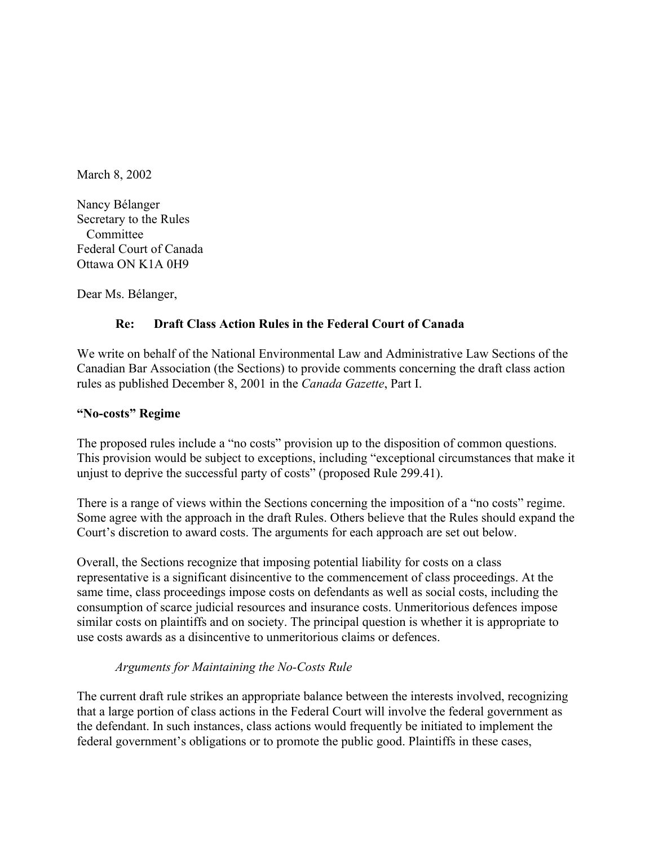March 8, 2002

Nancy Bélanger Secretary to the Rules **Committee** Federal Court of Canada Ottawa ON K1A 0H9

Dear Ms. Bélanger,

### **Re: Draft Class Action Rules in the Federal Court of Canada**

We write on behalf of the National Environmental Law and Administrative Law Sections of the Canadian Bar Association (the Sections) to provide comments concerning the draft class action rules as published December 8, 2001 in the *Canada Gazette*, Part I.

#### **"No-costs" Regime**

The proposed rules include a "no costs" provision up to the disposition of common questions. This provision would be subject to exceptions, including "exceptional circumstances that make it unjust to deprive the successful party of costs" (proposed Rule 299.41).

There is a range of views within the Sections concerning the imposition of a "no costs" regime. Some agree with the approach in the draft Rules. Others believe that the Rules should expand the Court's discretion to award costs. The arguments for each approach are set out below.

Overall, the Sections recognize that imposing potential liability for costs on a class representative is a significant disincentive to the commencement of class proceedings. At the same time, class proceedings impose costs on defendants as well as social costs, including the consumption of scarce judicial resources and insurance costs. Unmeritorious defences impose similar costs on plaintiffs and on society. The principal question is whether it is appropriate to use costs awards as a disincentive to unmeritorious claims or defences.

### *Arguments for Maintaining the No-Costs Rule*

The current draft rule strikes an appropriate balance between the interests involved, recognizing that a large portion of class actions in the Federal Court will involve the federal government as the defendant. In such instances, class actions would frequently be initiated to implement the federal government's obligations or to promote the public good. Plaintiffs in these cases,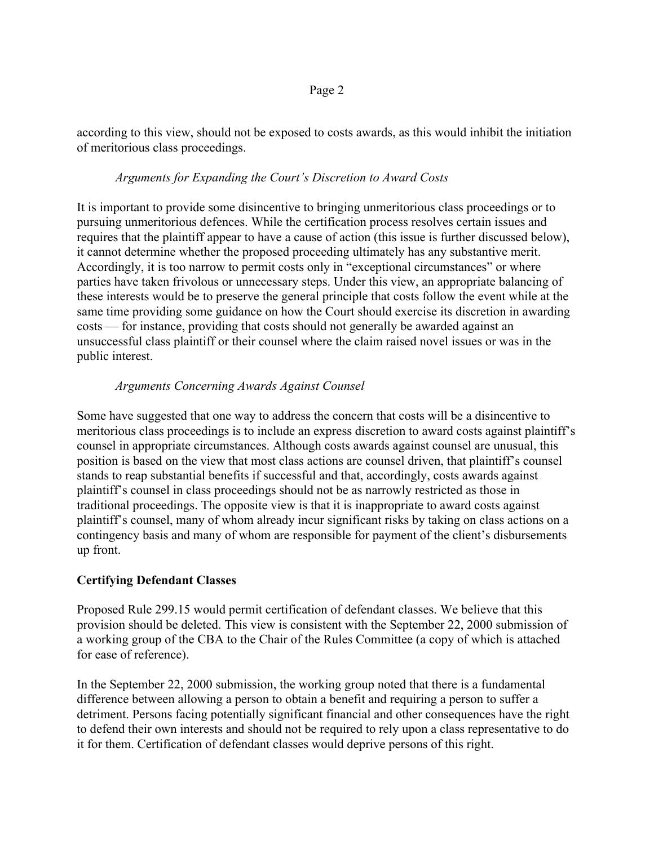according to this view, should not be exposed to costs awards, as this would inhibit the initiation of meritorious class proceedings.

### *Arguments for Expanding the Court's Discretion to Award Costs*

It is important to provide some disincentive to bringing unmeritorious class proceedings or to pursuing unmeritorious defences. While the certification process resolves certain issues and requires that the plaintiff appear to have a cause of action (this issue is further discussed below), it cannot determine whether the proposed proceeding ultimately has any substantive merit. Accordingly, it is too narrow to permit costs only in "exceptional circumstances" or where parties have taken frivolous or unnecessary steps. Under this view, an appropriate balancing of these interests would be to preserve the general principle that costs follow the event while at the same time providing some guidance on how the Court should exercise its discretion in awarding costs — for instance, providing that costs should not generally be awarded against an unsuccessful class plaintiff or their counsel where the claim raised novel issues or was in the public interest.

### *Arguments Concerning Awards Against Counsel*

Some have suggested that one way to address the concern that costs will be a disincentive to meritorious class proceedings is to include an express discretion to award costs against plaintiff's counsel in appropriate circumstances. Although costs awards against counsel are unusual, this position is based on the view that most class actions are counsel driven, that plaintiff's counsel stands to reap substantial benefits if successful and that, accordingly, costs awards against plaintiff's counsel in class proceedings should not be as narrowly restricted as those in traditional proceedings. The opposite view is that it is inappropriate to award costs against plaintiff's counsel, many of whom already incur significant risks by taking on class actions on a contingency basis and many of whom are responsible for payment of the client's disbursements up front.

### **Certifying Defendant Classes**

Proposed Rule 299.15 would permit certification of defendant classes. We believe that this provision should be deleted. This view is consistent with the September 22, 2000 submission of a working group of the CBA to the Chair of the Rules Committee (a copy of which is attached for ease of reference).

In the September 22, 2000 submission, the working group noted that there is a fundamental difference between allowing a person to obtain a benefit and requiring a person to suffer a detriment. Persons facing potentially significant financial and other consequences have the right to defend their own interests and should not be required to rely upon a class representative to do it for them. Certification of defendant classes would deprive persons of this right.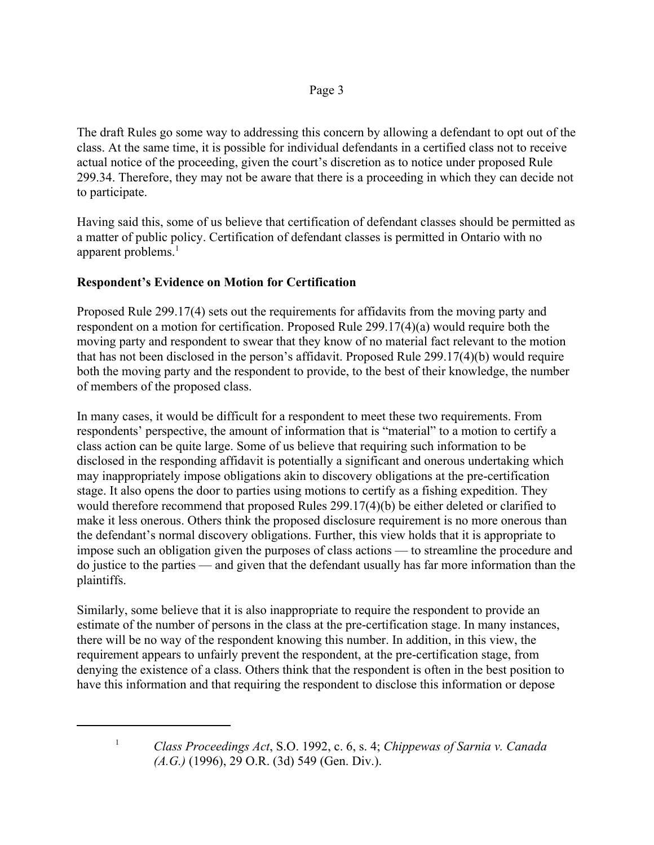The draft Rules go some way to addressing this concern by allowing a defendant to opt out of the class. At the same time, it is possible for individual defendants in a certified class not to receive actual notice of the proceeding, given the court's discretion as to notice under proposed Rule 299.34. Therefore, they may not be aware that there is a proceeding in which they can decide not to participate.

Having said this, some of us believe that certification of defendant classes should be permitted as a matter of public policy. Certification of defendant classes is permitted in Ontario with no apparent problems.<sup>1</sup>

## **Respondent's Evidence on Motion for Certification**

Proposed Rule 299.17(4) sets out the requirements for affidavits from the moving party and respondent on a motion for certification. Proposed Rule 299.17(4)(a) would require both the moving party and respondent to swear that they know of no material fact relevant to the motion that has not been disclosed in the person's affidavit. Proposed Rule 299.17(4)(b) would require both the moving party and the respondent to provide, to the best of their knowledge, the number of members of the proposed class.

In many cases, it would be difficult for a respondent to meet these two requirements. From respondents' perspective, the amount of information that is "material" to a motion to certify a class action can be quite large. Some of us believe that requiring such information to be disclosed in the responding affidavit is potentially a significant and onerous undertaking which may inappropriately impose obligations akin to discovery obligations at the pre-certification stage. It also opens the door to parties using motions to certify as a fishing expedition. They would therefore recommend that proposed Rules 299.17(4)(b) be either deleted or clarified to make it less onerous. Others think the proposed disclosure requirement is no more onerous than the defendant's normal discovery obligations. Further, this view holds that it is appropriate to impose such an obligation given the purposes of class actions — to streamline the procedure and do justice to the parties — and given that the defendant usually has far more information than the plaintiffs.

Similarly, some believe that it is also inappropriate to require the respondent to provide an estimate of the number of persons in the class at the pre-certification stage. In many instances, there will be no way of the respondent knowing this number. In addition, in this view, the requirement appears to unfairly prevent the respondent, at the pre-certification stage, from denying the existence of a class. Others think that the respondent is often in the best position to have this information and that requiring the respondent to disclose this information or depose

<sup>1</sup>*Class Proceedings Act*, S.O. 1992, c. 6, s. 4; *Chippewas of Sarnia v. Canada (A.G.)* (1996), 29 O.R. (3d) 549 (Gen. Div.).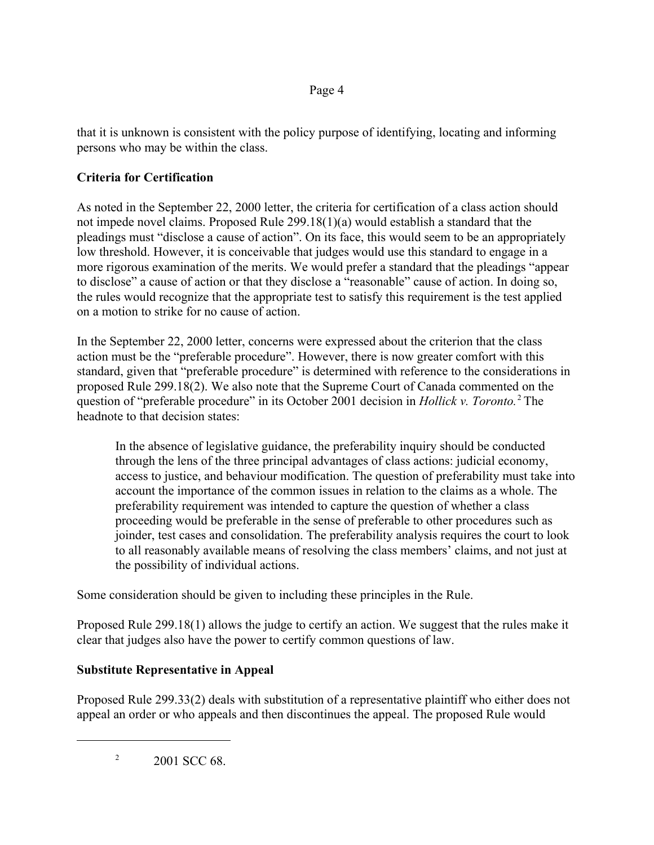## Page 4

that it is unknown is consistent with the policy purpose of identifying, locating and informing persons who may be within the class.

# **Criteria for Certification**

As noted in the September 22, 2000 letter, the criteria for certification of a class action should not impede novel claims. Proposed Rule 299.18(1)(a) would establish a standard that the pleadings must "disclose a cause of action". On its face, this would seem to be an appropriately low threshold. However, it is conceivable that judges would use this standard to engage in a more rigorous examination of the merits. We would prefer a standard that the pleadings "appear to disclose" a cause of action or that they disclose a "reasonable" cause of action. In doing so, the rules would recognize that the appropriate test to satisfy this requirement is the test applied on a motion to strike for no cause of action.

In the September 22, 2000 letter, concerns were expressed about the criterion that the class action must be the "preferable procedure". However, there is now greater comfort with this standard, given that "preferable procedure" is determined with reference to the considerations in proposed Rule 299.18(2). We also note that the Supreme Court of Canada commented on the question of "preferable procedure" in its October 2001 decision in *Hollick v. Toronto.*<sup>2</sup> The headnote to that decision states:

In the absence of legislative guidance, the preferability inquiry should be conducted through the lens of the three principal advantages of class actions: judicial economy, access to justice, and behaviour modification. The question of preferability must take into account the importance of the common issues in relation to the claims as a whole. The preferability requirement was intended to capture the question of whether a class proceeding would be preferable in the sense of preferable to other procedures such as joinder, test cases and consolidation. The preferability analysis requires the court to look to all reasonably available means of resolving the class members' claims, and not just at the possibility of individual actions.

Some consideration should be given to including these principles in the Rule.

Proposed Rule 299.18(1) allows the judge to certify an action. We suggest that the rules make it clear that judges also have the power to certify common questions of law.

# **Substitute Representative in Appeal**

Proposed Rule 299.33(2) deals with substitution of a representative plaintiff who either does not appeal an order or who appeals and then discontinues the appeal. The proposed Rule would

 $^{2}$  2001 SCC 68